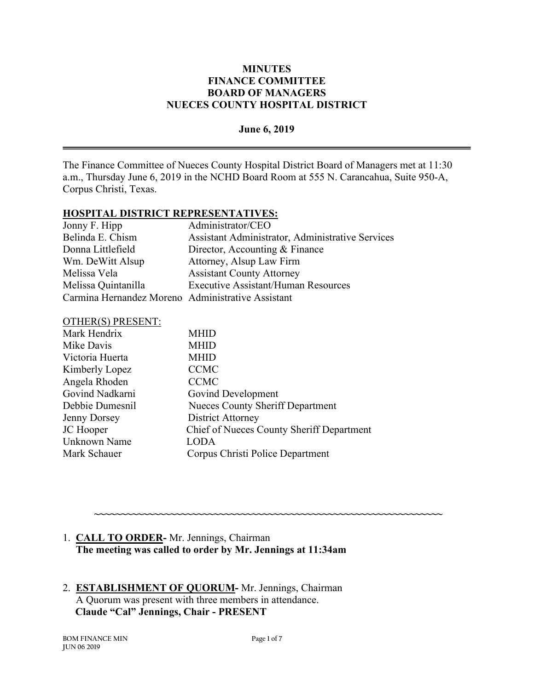#### **June 6, 2019**

The Finance Committee of Nueces County Hospital District Board of Managers met at 11:30 a.m., Thursday June 6, 2019 in the NCHD Board Room at 555 N. Carancahua, Suite 950-A, Corpus Christi, Texas.

#### **HOSPITAL DISTRICT REPRESENTATIVES:**

| Jonny F. Hipp                                     | Administrator/CEO                                |
|---------------------------------------------------|--------------------------------------------------|
| Belinda E. Chism                                  | Assistant Administrator, Administrative Services |
| Donna Littlefield                                 | Director, Accounting & Finance                   |
| Wm. DeWitt Alsup                                  | Attorney, Alsup Law Firm                         |
| Melissa Vela                                      | <b>Assistant County Attorney</b>                 |
| Melissa Quintanilla                               | <b>Executive Assistant/Human Resources</b>       |
| Carmina Hernandez Moreno Administrative Assistant |                                                  |

#### OTHER(S) PRESENT:

| <b>Nueces County Sheriff Department</b>   |
|-------------------------------------------|
|                                           |
| Chief of Nueces County Sheriff Department |
|                                           |
|                                           |
|                                           |

# 1. **CALL TO ORDER-** Mr. Jennings, Chairman  **The meeting was called to order by Mr. Jennings at 11:34am**

### 2. **ESTABLISHMENT OF QUORUM-** Mr. Jennings, Chairman A Quorum was present with three members in attendance. **Claude "Cal" Jennings, Chair - PRESENT**

**~~~~~~~~~~~~~~~~~~~~~~~~~~~~~~~~~~~~~~~~~~~~~~~~~~~~~~~~~~~~~~~~**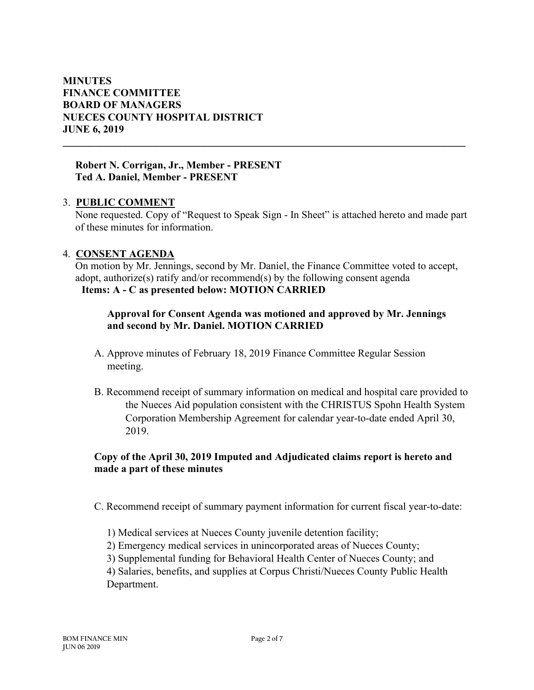#### **Robert N. Corrigan, Jr., Member - PRESENT Ted A. Daniel, Member - PRESENT**

### 3. **PUBLIC COMMENT**

None requested. Copy of "Request to Speak Sign - In Sheet" is attached hereto and made part of these minutes for information.

**\_\_\_\_\_\_\_\_\_\_\_\_\_\_\_\_\_\_\_\_\_\_\_\_\_\_\_\_\_\_\_\_\_\_\_\_\_\_\_\_\_\_\_\_\_\_\_\_\_\_\_\_\_\_\_\_\_\_\_\_\_\_\_\_\_\_\_\_\_\_\_\_\_\_\_\_\_**

### 4. **CONSENT AGENDA**

On motion by Mr. Jennings, second by Mr. Daniel, the Finance Committee voted to accept, adopt, authorize(s) ratify and/or recommend(s) by the following consent agenda **Items: A - C as presented below: MOTION CARRIED**

# **Approval for Consent Agenda was motioned and approved by Mr. Jennings and second by Mr. Daniel. MOTION CARRIED**

- A. Approve minutes of February 18, 2019 Finance Committee Regular Session meeting.
- B. Recommend receipt of summary information on medical and hospital care provided to the Nueces Aid population consistent with the CHRISTUS Spohn Health System Corporation Membership Agreement for calendar year-to-date ended April 30, 2019.

# **Copy of the April 30, 2019 Imputed and Adjudicated claims report is hereto and made a part of these minutes**

- C. Recommend receipt of summary payment information for current fiscal year-to-date:
	- 1) Medical services at Nueces County juvenile detention facility;
	- 2) Emergency medical services in unincorporated areas of Nueces County;
	- 3) Supplemental funding for Behavioral Health Center of Nueces County; and

4) Salaries, benefits, and supplies at Corpus Christi/Nueces County Public Health Department.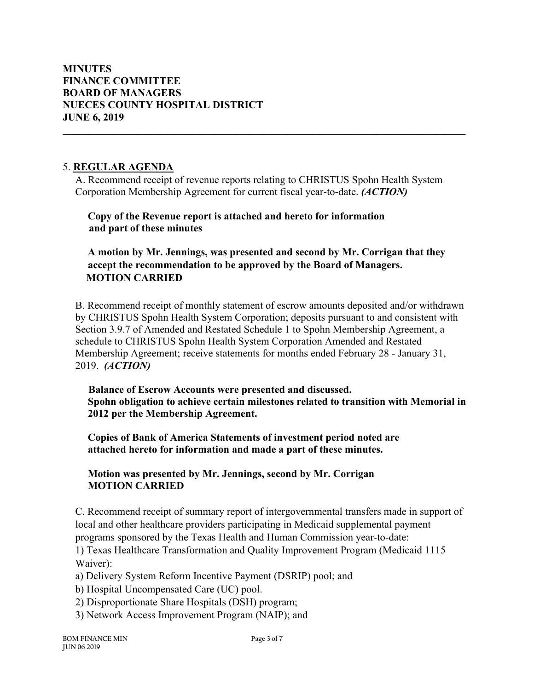### 5. **REGULAR AGENDA**

A. Recommend receipt of revenue reports relating to CHRISTUS Spohn Health System Corporation Membership Agreement for current fiscal year-to-date. *(ACTION)*

**\_\_\_\_\_\_\_\_\_\_\_\_\_\_\_\_\_\_\_\_\_\_\_\_\_\_\_\_\_\_\_\_\_\_\_\_\_\_\_\_\_\_\_\_\_\_\_\_\_\_\_\_\_\_\_\_\_\_\_\_\_\_\_\_\_\_\_\_\_\_\_\_\_\_\_\_\_**

**Copy of the Revenue report is attached and hereto for information and part of these minutes**

**A motion by Mr. Jennings, was presented and second by Mr. Corrigan that they accept the recommendation to be approved by the Board of Managers. MOTION CARRIED**

B. Recommend receipt of monthly statement of escrow amounts deposited and/or withdrawn by CHRISTUS Spohn Health System Corporation; deposits pursuant to and consistent with Section 3.9.7 of Amended and Restated Schedule 1 to Spohn Membership Agreement, a schedule to CHRISTUS Spohn Health System Corporation Amended and Restated Membership Agreement; receive statements for months ended February 28 - January 31, 2019. *(ACTION)*

 **Balance of Escrow Accounts were presented and discussed. Spohn obligation to achieve certain milestones related to transition with Memorial in 2012 per the Membership Agreement.**

**Copies of Bank of America Statements of investment period noted are attached hereto for information and made a part of these minutes.**

# **Motion was presented by Mr. Jennings, second by Mr. Corrigan MOTION CARRIED**

C. Recommend receipt of summary report of intergovernmental transfers made in support of local and other healthcare providers participating in Medicaid supplemental payment programs sponsored by the Texas Health and Human Commission year-to-date:

1) Texas Healthcare Transformation and Quality Improvement Program (Medicaid 1115 Waiver):

a) Delivery System Reform Incentive Payment (DSRIP) pool; and

- b) Hospital Uncompensated Care (UC) pool.
- 2) Disproportionate Share Hospitals (DSH) program;
- 3) Network Access Improvement Program (NAIP); and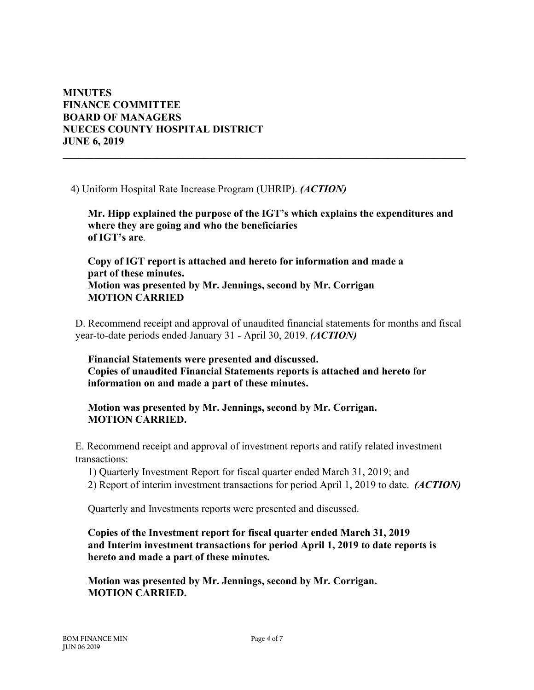4) Uniform Hospital Rate Increase Program (UHRIP). *(ACTION)*

**Mr. Hipp explained the purpose of the IGT's which explains the expenditures and where they are going and who the beneficiaries of IGT's are**.

**\_\_\_\_\_\_\_\_\_\_\_\_\_\_\_\_\_\_\_\_\_\_\_\_\_\_\_\_\_\_\_\_\_\_\_\_\_\_\_\_\_\_\_\_\_\_\_\_\_\_\_\_\_\_\_\_\_\_\_\_\_\_\_\_\_\_\_\_\_\_\_\_\_\_\_\_\_**

**Copy of IGT report is attached and hereto for information and made a part of these minutes. Motion was presented by Mr. Jennings, second by Mr. Corrigan MOTION CARRIED**

D. Recommend receipt and approval of unaudited financial statements for months and fiscal year-to-date periods ended January 31 - April 30, 2019. *(ACTION)*

**Financial Statements were presented and discussed. Copies of unaudited Financial Statements reports is attached and hereto for information on and made a part of these minutes.**

**Motion was presented by Mr. Jennings, second by Mr. Corrigan. MOTION CARRIED.** 

E. Recommend receipt and approval of investment reports and ratify related investment transactions:

1) Quarterly Investment Report for fiscal quarter ended March 31, 2019; and

2) Report of interim investment transactions for period April 1, 2019 to date. *(ACTION)*

Quarterly and Investments reports were presented and discussed.

**Copies of the Investment report for fiscal quarter ended March 31, 2019 and Interim investment transactions for period April 1, 2019 to date reports is hereto and made a part of these minutes.**

**Motion was presented by Mr. Jennings, second by Mr. Corrigan. MOTION CARRIED.**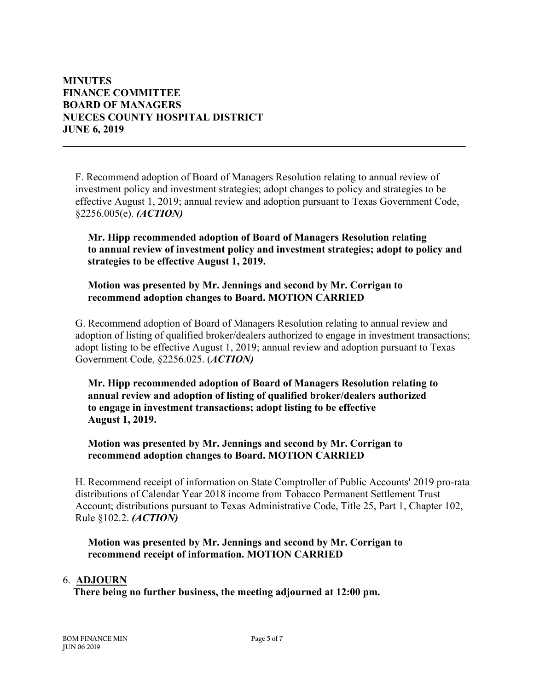F. Recommend adoption of Board of Managers Resolution relating to annual review of investment policy and investment strategies; adopt changes to policy and strategies to be effective August 1, 2019; annual review and adoption pursuant to Texas Government Code, §2256.005(e). *(ACTION)*

**\_\_\_\_\_\_\_\_\_\_\_\_\_\_\_\_\_\_\_\_\_\_\_\_\_\_\_\_\_\_\_\_\_\_\_\_\_\_\_\_\_\_\_\_\_\_\_\_\_\_\_\_\_\_\_\_\_\_\_\_\_\_\_\_\_\_\_\_\_\_\_\_\_\_\_\_\_**

**Mr. Hipp recommended adoption of Board of Managers Resolution relating to annual review of investment policy and investment strategies; adopt to policy and strategies to be effective August 1, 2019.**

**Motion was presented by Mr. Jennings and second by Mr. Corrigan to recommend adoption changes to Board. MOTION CARRIED**

G. Recommend adoption of Board of Managers Resolution relating to annual review and adoption of listing of qualified broker/dealers authorized to engage in investment transactions; adopt listing to be effective August 1, 2019; annual review and adoption pursuant to Texas Government Code, §2256.025. (*ACTION)*

**Mr. Hipp recommended adoption of Board of Managers Resolution relating to annual review and adoption of listing of qualified broker/dealers authorized to engage in investment transactions; adopt listing to be effective August 1, 2019.**

**Motion was presented by Mr. Jennings and second by Mr. Corrigan to recommend adoption changes to Board. MOTION CARRIED**

H. Recommend receipt of information on State Comptroller of Public Accounts' 2019 pro-rata distributions of Calendar Year 2018 income from Tobacco Permanent Settlement Trust Account; distributions pursuant to Texas Administrative Code, Title 25, Part 1, Chapter 102, Rule §102.2. *(ACTION)*

**Motion was presented by Mr. Jennings and second by Mr. Corrigan to recommend receipt of information. MOTION CARRIED**

#### 6. **ADJOURN**

 **There being no further business, the meeting adjourned at 12:00 pm.**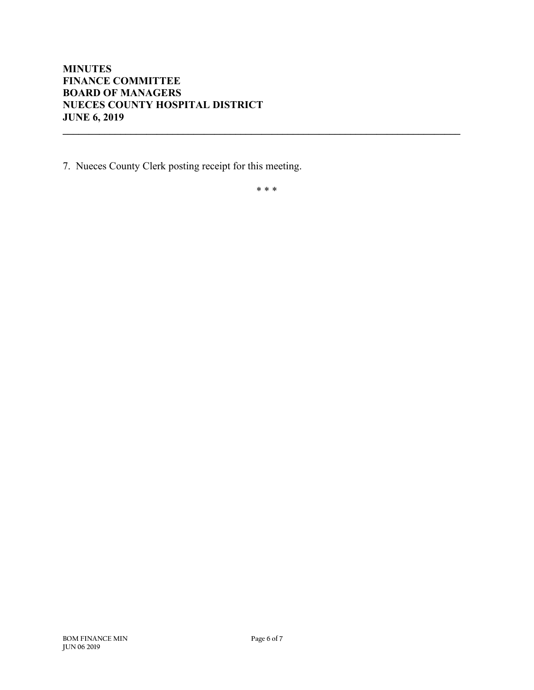7. Nueces County Clerk posting receipt for this meeting.

\* \* \*

**\_\_\_\_\_\_\_\_\_\_\_\_\_\_\_\_\_\_\_\_\_\_\_\_\_\_\_\_\_\_\_\_\_\_\_\_\_\_\_\_\_\_\_\_\_\_\_\_\_\_\_\_\_\_\_\_\_\_\_\_\_\_\_\_\_\_\_\_\_\_\_\_\_\_\_\_**